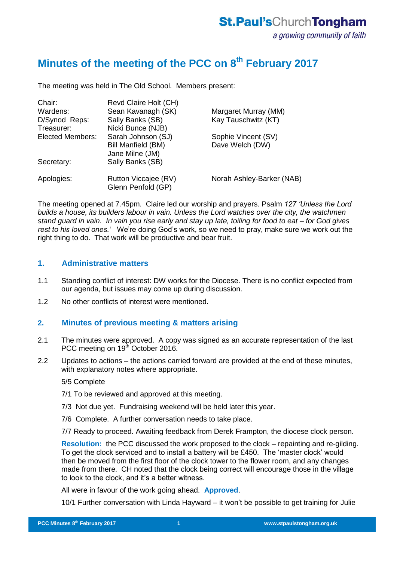# **Minutes of the meeting of the PCC on 8th February 2017**

The meeting was held in The Old School. Members present:

| Chair:                  | Revd Claire Holt (CH)                      |                           |
|-------------------------|--------------------------------------------|---------------------------|
| Wardens:                | Sean Kavanagh (SK)                         | Margaret Murray (MM)      |
| D/Synod Reps:           | Sally Banks (SB)                           | Kay Tauschwitz (KT)       |
| Treasurer:              | Nicki Bunce (NJB)                          |                           |
| <b>Elected Members:</b> | Sarah Johnson (SJ)                         | Sophie Vincent (SV)       |
|                         | Bill Manfield (BM)<br>Jane Milne (JM)      | Dave Welch (DW)           |
| Secretary:              | Sally Banks (SB)                           |                           |
| Apologies:              | Rutton Viccajee (RV)<br>Glenn Penfold (GP) | Norah Ashley-Barker (NAB) |
|                         |                                            |                           |

The meeting opened at 7.45pm. Claire led our worship and prayers. Psalm *127 'Unless the Lord builds a house, its builders labour in vain. Unless the Lord watches over the city, the watchmen stand guard in vain. In vain you rise early and stay up late, toiling for food to eat – for God gives rest to his loved ones.'* We're doing God's work, so we need to pray, make sure we work out the right thing to do. That work will be productive and bear fruit.

#### **1. Administrative matters**

- 1.1 Standing conflict of interest: DW works for the Diocese. There is no conflict expected from our agenda, but issues may come up during discussion.
- 1.2 No other conflicts of interest were mentioned.

## **2. Minutes of previous meeting & matters arising**

- 2.1 The minutes were approved. A copy was signed as an accurate representation of the last PCC meeting on 19<sup>th</sup> October 2016.
- 2.2 Updates to actions the actions carried forward are provided at the end of these minutes, with explanatory notes where appropriate.

5/5 Complete

- 7/1 To be reviewed and approved at this meeting.
- 7/3 Not due yet. Fundraising weekend will be held later this year.
- 7/6 Complete. A further conversation needs to take place.
- 7/7 Ready to proceed. Awaiting feedback from Derek Frampton, the diocese clock person.

**Resolution:** the PCC discussed the work proposed to the clock – repainting and re-gilding. To get the clock serviced and to install a battery will be £450. The 'master clock' would then be moved from the first floor of the clock tower to the flower room, and any changes made from there. CH noted that the clock being correct will encourage those in the village to look to the clock, and it's a better witness.

All were in favour of the work going ahead. **Approved**.

10/1 Further conversation with Linda Hayward – it won't be possible to get training for Julie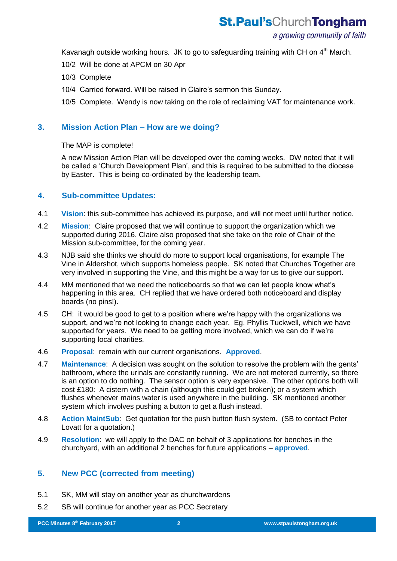a growing community of faith

Kavanagh outside working hours. JK to go to safeguarding training with CH on  $4<sup>th</sup>$  March.

10/2 Will be done at APCM on 30 Apr

- 10/3 Complete
- 10/4 Carried forward. Will be raised in Claire's sermon this Sunday.

10/5 Complete. Wendy is now taking on the role of reclaiming VAT for maintenance work.

## **3. Mission Action Plan – How are we doing?**

The MAP is complete!

A new Mission Action Plan will be developed over the coming weeks. DW noted that it will be called a 'Church Development Plan', and this is required to be submitted to the diocese by Easter. This is being co-ordinated by the leadership team.

## **4. Sub-committee Updates:**

- 4.1 **Vision**: this sub-committee has achieved its purpose, and will not meet until further notice.
- 4.2 **Mission**: Claire proposed that we will continue to support the organization which we supported during 2016. Claire also proposed that she take on the role of Chair of the Mission sub-committee, for the coming year.
- 4.3 NJB said she thinks we should do more to support local organisations, for example The Vine in Aldershot, which supports homeless people. SK noted that Churches Together are very involved in supporting the Vine, and this might be a way for us to give our support.
- 4.4 MM mentioned that we need the noticeboards so that we can let people know what's happening in this area. CH replied that we have ordered both noticeboard and display boards (no pins!).
- 4.5 CH: it would be good to get to a position where we're happy with the organizations we support, and we're not looking to change each year. Eg. Phyllis Tuckwell, which we have supported for years. We need to be getting more involved, which we can do if we're supporting local charities.
- 4.6 **Proposal**: remain with our current organisations. **Approved**.
- 4.7 **Maintenance**: A decision was sought on the solution to resolve the problem with the gents' bathroom, where the urinals are constantly running. We are not metered currently, so there is an option to do nothing. The sensor option is very expensive. The other options both will cost £180: A cistern with a chain (although this could get broken); or a system which flushes whenever mains water is used anywhere in the building. SK mentioned another system which involves pushing a button to get a flush instead.
- 4.8 **Action MaintSub**: Get quotation for the push button flush system. (SB to contact Peter Lovatt for a quotation.)
- 4.9 **Resolution**: we will apply to the DAC on behalf of 3 applications for benches in the churchyard, with an additional 2 benches for future applications – **approved**.

## **5. New PCC (corrected from meeting)**

- 5.1 SK, MM will stay on another year as churchwardens
- 5.2 SB will continue for another year as PCC Secretary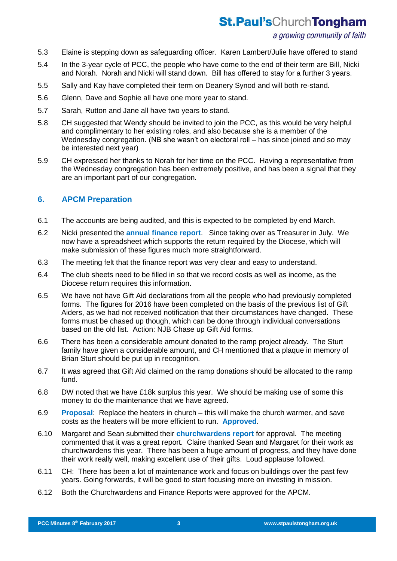## a growing community of faith

- 5.3 Elaine is stepping down as safeguarding officer. Karen Lambert/Julie have offered to stand
- 5.4 In the 3-year cycle of PCC, the people who have come to the end of their term are Bill, Nicki and Norah. Norah and Nicki will stand down. Bill has offered to stay for a further 3 years.
- 5.5 Sally and Kay have completed their term on Deanery Synod and will both re-stand.
- 5.6 Glenn, Dave and Sophie all have one more year to stand.
- 5.7 Sarah, Rutton and Jane all have two years to stand.
- 5.8 CH suggested that Wendy should be invited to join the PCC, as this would be very helpful and complimentary to her existing roles, and also because she is a member of the Wednesday congregation. (NB she wasn't on electoral roll – has since joined and so may be interested next year)
- 5.9 CH expressed her thanks to Norah for her time on the PCC. Having a representative from the Wednesday congregation has been extremely positive, and has been a signal that they are an important part of our congregation.

## **6. APCM Preparation**

- 6.1 The accounts are being audited, and this is expected to be completed by end March.
- 6.2 Nicki presented the **annual finance report**. Since taking over as Treasurer in July. We now have a spreadsheet which supports the return required by the Diocese, which will make submission of these figures much more straightforward.
- 6.3 The meeting felt that the finance report was very clear and easy to understand.
- 6.4 The club sheets need to be filled in so that we record costs as well as income, as the Diocese return requires this information.
- 6.5 We have not have Gift Aid declarations from all the people who had previously completed forms. The figures for 2016 have been completed on the basis of the previous list of Gift Aiders, as we had not received notification that their circumstances have changed. These forms must be chased up though, which can be done through individual conversations based on the old list. Action: NJB Chase up Gift Aid forms.
- 6.6 There has been a considerable amount donated to the ramp project already. The Sturt family have given a considerable amount, and CH mentioned that a plaque in memory of Brian Sturt should be put up in recognition.
- 6.7 It was agreed that Gift Aid claimed on the ramp donations should be allocated to the ramp fund.
- 6.8 DW noted that we have £18k surplus this year. We should be making use of some this money to do the maintenance that we have agreed.
- 6.9 **Proposal**: Replace the heaters in church this will make the church warmer, and save costs as the heaters will be more efficient to run. **Approved**.
- 6.10 Margaret and Sean submitted their **churchwardens report** for approval. The meeting commented that it was a great report. Claire thanked Sean and Margaret for their work as churchwardens this year. There has been a huge amount of progress, and they have done their work really well, making excellent use of their gifts. Loud applause followed.
- 6.11 CH: There has been a lot of maintenance work and focus on buildings over the past few years. Going forwards, it will be good to start focusing more on investing in mission.
- 6.12 Both the Churchwardens and Finance Reports were approved for the APCM.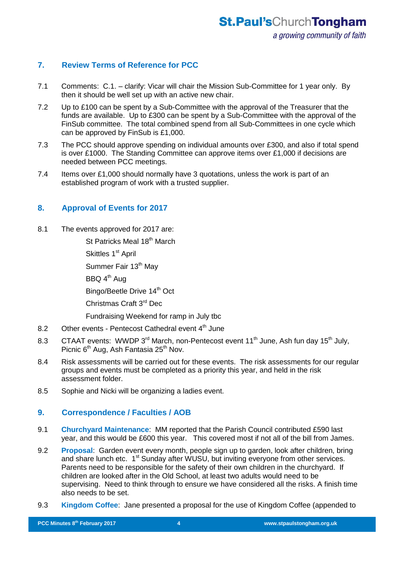## **7. Review Terms of Reference for PCC**

- 7.1 Comments: C.1. clarify: Vicar will chair the Mission Sub-Committee for 1 year only. By then it should be well set up with an active new chair.
- 7.2 Up to £100 can be spent by a Sub-Committee with the approval of the Treasurer that the funds are available. Up to £300 can be spent by a Sub-Committee with the approval of the FinSub committee. The total combined spend from all Sub-Committees in one cycle which can be approved by FinSub is £1,000.
- 7.3 The PCC should approve spending on individual amounts over £300, and also if total spend is over £1000. The Standing Committee can approve items over £1,000 if decisions are needed between PCC meetings.
- 7.4 Items over £1,000 should normally have 3 quotations, unless the work is part of an established program of work with a trusted supplier.

## **8. Approval of Events for 2017**

- 8.1 The events approved for 2017 are:
	- St Patricks Meal 18<sup>th</sup> March
	- Skittles 1<sup>st</sup> April
	- Summer Fair 13<sup>th</sup> May
	- $BBQ$  4<sup>th</sup> Aug
	- Bingo/Beetle Drive 14<sup>th</sup> Oct
	- Christmas Craft 3rd Dec

Fundraising Weekend for ramp in July tbc

- 8.2 Other events Pentecost Cathedral event 4<sup>th</sup> June
- 8.3 CTAAT events: WWDP 3<sup>rd</sup> March, non-Pentecost event 11<sup>th</sup> June, Ash fun day 15<sup>th</sup> July, Picnic 6<sup>th</sup> Aug, Ash Fantasia 25<sup>th</sup> Nov.
- 8.4 Risk assessments will be carried out for these events. The risk assessments for our regular groups and events must be completed as a priority this year, and held in the risk assessment folder.
- 8.5 Sophie and Nicki will be organizing a ladies event.

## **9. Correspondence / Faculties / AOB**

- 9.1 **Churchyard Maintenance**: MM reported that the Parish Council contributed £590 last year, and this would be £600 this year. This covered most if not all of the bill from James.
- 9.2 **Proposal**: Garden event every month, people sign up to garden, look after children, bring and share lunch etc. 1<sup>st</sup> Sunday after WUSU, but inviting everyone from other services. Parents need to be responsible for the safety of their own children in the churchyard. If children are looked after in the Old School, at least two adults would need to be supervising. Need to think through to ensure we have considered all the risks. A finish time also needs to be set.
- 9.3 **Kingdom Coffee**: Jane presented a proposal for the use of Kingdom Coffee (appended to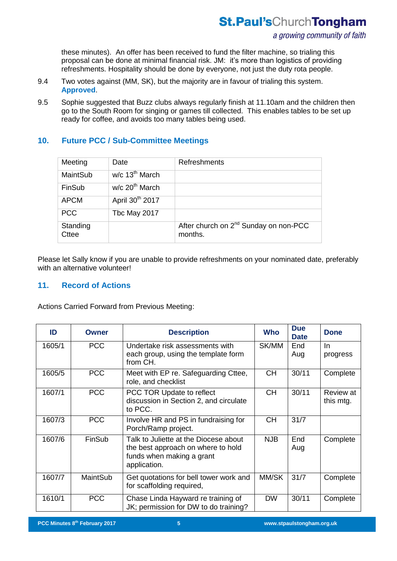these minutes). An offer has been received to fund the filter machine, so trialing this proposal can be done at minimal financial risk. JM: it's more than logistics of providing refreshments. Hospitality should be done by everyone, not just the duty rota people.

- 9.4 Two votes against (MM, SK), but the majority are in favour of trialing this system. **Approved**.
- 9.5 Sophie suggested that Buzz clubs always regularly finish at 11.10am and the children then go to the South Room for singing or games till collected. This enables tables to be set up ready for coffee, and avoids too many tables being used.

## **10. Future PCC / Sub-Committee Meetings**

| Meeting                  | Date                         | <b>Refreshments</b>                                          |
|--------------------------|------------------------------|--------------------------------------------------------------|
| MaintSub                 | $w/c$ 13 <sup>th</sup> March |                                                              |
| FinSub                   | $w/c$ 20 <sup>th</sup> March |                                                              |
| <b>APCM</b>              | April 30 <sup>th</sup> 2017  |                                                              |
| <b>PCC</b>               | Tbc May 2017                 |                                                              |
| Standing<br><b>Cttee</b> |                              | After church on 2 <sup>nd</sup> Sunday on non-PCC<br>months. |

Please let Sally know if you are unable to provide refreshments on your nominated date, preferably with an alternative volunteer!

## **11. Record of Actions**

Actions Carried Forward from Previous Meeting:

| ID     | Owner           | <b>Description</b>                                                                                                       | <b>Who</b> | <b>Due</b><br><b>Date</b> | <b>Done</b>            |
|--------|-----------------|--------------------------------------------------------------------------------------------------------------------------|------------|---------------------------|------------------------|
| 1605/1 | <b>PCC</b>      | Undertake risk assessments with<br>each group, using the template form<br>from CH.                                       | SK/MM      | End<br>Aug                | <b>In</b><br>progress  |
| 1605/5 | <b>PCC</b>      | Meet with EP re. Safeguarding Cttee,<br>role, and checklist                                                              | <b>CH</b>  | 30/11                     | Complete               |
| 1607/1 | <b>PCC</b>      | PCC TOR Update to reflect<br>discussion in Section 2, and circulate<br>to PCC.                                           | <b>CH</b>  | 30/11                     | Review at<br>this mtg. |
| 1607/3 | <b>PCC</b>      | Involve HR and PS in fundraising for<br>Porch/Ramp project.                                                              | <b>CH</b>  | 31/7                      |                        |
| 1607/6 | FinSub          | Talk to Juliette at the Diocese about<br>the best approach on where to hold<br>funds when making a grant<br>application. | <b>NJB</b> | End<br>Aug                | Complete               |
| 1607/7 | <b>MaintSub</b> | Get quotations for bell tower work and<br>for scaffolding required,                                                      | MM/SK      | 31/7                      | Complete               |
| 1610/1 | <b>PCC</b>      | Chase Linda Hayward re training of<br>JK; permission for DW to do training?                                              | <b>DW</b>  | 30/11                     | Complete               |

**PCC Minutes 17th September 2015 5**